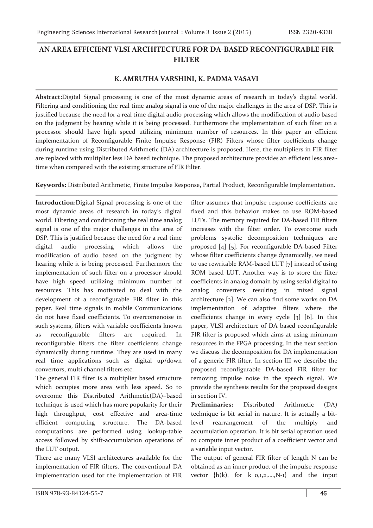## **AN AREA EFFICIENT VLSI ARCHITECTURE FOR DA-BASED RECONFIGURABLE FIR FILTER**

## **K. AMRUTHA VARSHINI, K. PADMA VASAVI**

**Abstract:**Digital Signal processing is one of the most dynamic areas of research in today's digital world. Filtering and conditioning the real time analog signal is one of the major challenges in the area of DSP. This is justified because the need for a real time digital audio processing which allows the modification of audio based on the judgment by hearing while it is being processed. Furthermore the implementation of such filter on a processor should have high speed utilizing minimum number of resources. In this paper an efficient implementation of Reconfigurable Finite Impulse Response (FIR) Filters whose filter coefficients change during runtime using Distributed Arithmetic (DA) architecture is proposed. Here, the multipliers in FIR filter are replaced with multiplier less DA based technique. The proposed architecture provides an efficient less areatime when compared with the existing structure of FIR Filter.

**Keywords:** Distributed Arithmetic, Finite Impulse Response, Partial Product, Reconfigurable Implementation.

**Introduction:**Digital Signal processing is one of the most dynamic areas of research in today's digital world. Filtering and conditioning the real time analog signal is one of the major challenges in the area of DSP. This is justified because the need for a real time digital audio processing which allows the modification of audio based on the judgment by hearing while it is being processed. Furthermore the implementation of such filter on a processor should have high speed utilizing minimum number of resources. This has motivated to deal with the development of a reconfigurable FIR filter in this paper. Real time signals in mobile Communications do not have fixed coefficients. To overcomenoise in such systems, filters with variable coefficients known as reconfigurable filters are required. In reconfigurable filters the filter coefficients change dynamically during runtime. They are used in many real time applications such as digital up/down convertors, multi channel filters etc.

The general FIR filter is a multiplier based structure which occupies more area with less speed. So to overcome this Distributed Arithmetic(DA)–based technique is used which has more popularity for their high throughput, cost effective and area-time efficient computing structure. The DA-based computations are performed using lookup-table access followed by shift-accumulation operations of the LUT output.

There are many VLSI architectures available for the implementation of FIR filters. The conventional DA implementation used for the implementation of FIR

filter assumes that impulse response coefficients are fixed and this behavior makes to use ROM-based LUTs. The memory required for DA-based FIR filters increases with the filter order. To overcome such problems systolic decomposition techniques are proposed [4] [5]. For reconfigurable DA-based Filter whose filter coefficients change dynamically, we need to use rewritable RAM-based LUT [7] instead of using ROM based LUT. Another way is to store the filter coefficients in analog domain by using serial digital to analog converters resulting in mixed signal architecture [2]. We can also find some works on DA implementation of adaptive filters where the coefficients change in every cycle [3] [6]. In this paper, VLSI architecture of DA based reconfigurable FIR filter is proposed which aims at using minimum resources in the FPGA processing. In the next section we discuss the decomposition for DA implementation of a generic FIR filter. In section III we describe the proposed reconfigurable DA-based FIR filter for removing impulse noise in the speech signal. We provide the synthesis results for the proposed designs in section IV.

**Preliminaries:** Distributed Arithmetic (DA) technique is bit serial in nature. It is actually a bitlevel rearrangement of the multiply and accumulation operation. It is bit serial operation used to compute inner product of a coefficient vector and a variable input vector.

The output of general FIR filter of length N can be obtained as an inner product of the impulse response vector  $\{h(k), \text{ for } k=0,1,2,...,N-1\}$  and the input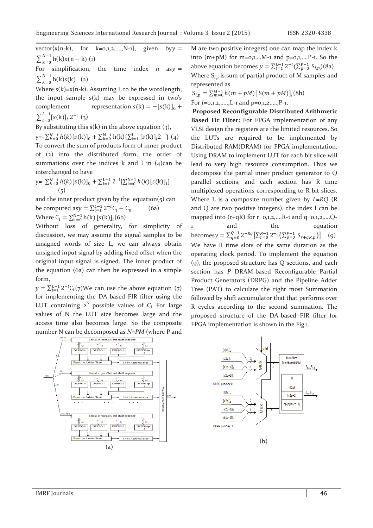vector $\{x(n-k), \text{ for } k=0,1,2,\ldots,N-1\}$ , given by  $y =$  $\sum_{k=0}^{N-1} h(k)x(n - k)$  (1)

For simplification, the time index  $n$  asy =  $\sum_{k=0}^{N-1} h(k)s(k)$  (2)

Where  $s(k)=x(n-k)$ . Assuming L to be the wordlength, the input sample s(k) may be expressed in two's complement representation. $s(k) = -[s(k)]_0 +$  $\sum_{l=0}^{L-1} [s(k)]_l 2^{-l}$  (3)

By substituting this  $s(k)$  in the above equation  $(3)$ ,

 $y=-\sum_{k=0}^{N-1} h(k)[s(k)]_0 + \sum_{k=0}^{N-1} h(k)\sum_{l=1}^{L-1}[s(k)]_l 2^{-l} \}$  (4) To convert the sum of products form of inner product of (2) into the distributed form, the order of summations over the indices  $k$  and  $l$  in  $(4)$ can be interchanged to have

y=-
$$
\sum_{k=0}^{N-1} h(k) [s(k)]_0 + \sum_{l=1}^{L-1} 2^{-l} {\sum_{k=0}^{N-1} h(k) [s(k)]_l}
$$
  
(5)

and the inner product given by the equation $(5)$  can be computed as  $y = \sum_{l=1}^{L-1} 2^{-l} C_l - C_0$  (6a) Where  $C_l = \sum_{k=0}^{N-1} h(k) [s(k)]_l(6b)$ 

Without loss of generality, for simplicity of discussion, we may assume the signal samples to be unsigned words of size L, we can always obtain unsigned input signal by adding fixed offset when the original input signal is signed. The inner product of the equation (6a) can then be expressed in a simple form,

 $y = \sum_{l=1}^{L-1} 2^{-l} C_l(\tau)$ We can use the above equation (7) for implementing the DA-based FIR filter using the LUT containing  $2^N$  possible values of C<sub>l</sub>. For large values of N the LUT size becomes large and the access time also becomes large. So the composite number N can be decomposed as *N=PM* (where P and

M are two positive integers) one can map the index k into  $(m+pM)$  for  $m=0,1,...M-1$  and  $p=0,1,...P-1$ . So the above equation becomes  $y = \sum_{l=1}^{L-1} 2^{-l} (\sum_{p=0}^{P-1} S_{l,p})(8a)$ Where S*l*,*p* is sum of partial product of M samples and represented as

 $S_{l,p} = \sum_{m=0}^{M-1} h(m + pM) [\, S(m + pM)]_l(8b)$ 

For  $l=0,1,2,......$ , L-1 and  $p=0,1,2,......$ , P-1.

 **Proposed Reconfigurable Distributed Arithmetic Based Fir Filter:** For FPGA implementation of any VLSI design the registers are the limited resources. So the LUTs are required to be implemented by Distributed RAM(DRAM) for FPGA implementation. Using DRAM to implement LUT for each bit slice will lead to very high resource consumption. Thus we decompose the partial inner product generator to Q parallel sections, and each section has R time multiplexed operations corresponding to R bit slices. Where L is a composite number given by *L=RQ* (R and Q are two positive integers), the index l can be mapped into  $(r+qR)$  for  $r=0,1,2,...R-1$  and  $q=0,1,2,...Q-$ 1 and the equation becomes  $y = \sum_{q=0}^{Q-1} 2^{-Rq} \left[ \sum_{r=0}^{R-1} 2^{-r} \left( \sum_{p=0}^{P-1} S_{r+qR,p} \right) \right]$  (9) We have R time slots of the same duration as the operating clock period. To implement the equation (9), the proposed structure has Q sections, and each section has *P* DRAM-based Reconfigurable Partial Product Generators (DRPG) and the Pipeline Adder Tree (PAT) to calculate the right most Summation followed by shift accumulator that that performs over R cycles according to the second summation. The proposed structure of the DA-based FIR filter for FPGA implementation is shown in the Fig.1.



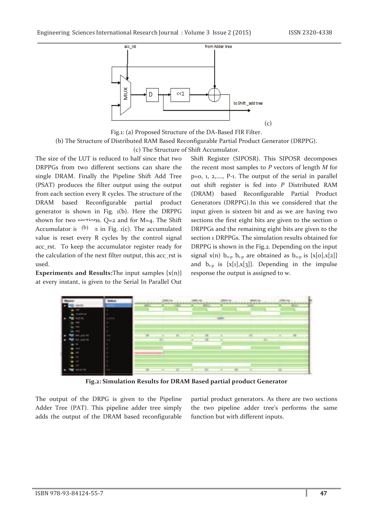

Fig.1: (a) Proposed Structure of the DA-Based FIR Filter. (b) The Structure of Distributed RAM Based Reconfigurable Partial Product Generator (DRPPG). (c) The Structure of Shift Accumulator.

The size of the LUT is reduced to half since that two DRPPGs from two different sections can share the single DRAM. Finally the Pipeline Shift Add Tree (PSAT) produces the filter output using the output from each section every R cycles. The structure of the DRAM based Reconfigurable partial product generator is shown in Fig. 1(b). Here the DRPPG shown for two sections.  $Q=2$  and for M=4. The Shift Accumulator is  $(b)$  n in Fig. 1(c). The accumulated value is reset every R cycles by the control signal acc\_rst. To keep the accumulator register ready for the calculation of the next filter output, this acc\_rst is used.

**Experiments and Results:**The input samples  $\{x(n)\}$ at every instant, is given to the Serial In Parallel Out

Shift Register (SIPOSR). This SIPOSR decomposes the recent most samples to *P* vectors of length *M* for p=0, 1, 2,…., P-1. The output of the serial in parallel out shift register is fed into *P* Distributed RAM (DRAM) based Reconfigurable Partial Product Generators (DRPPG).In this we considered that the input given is sixteen bit and as we are having two sections the first eight bits are given to the section of DRPPGs and the remaining eight bits are given to the section 1 DRPPGs. The simulation results obtained for DRPPG is shown in the Fig.2. Depending on the input signal x(n)  $b_{o-p}$   $b_{1-p}$  are obtained as  $b_{o-p}$  is {x[0],x[2]} and  $b_{1-p}$  is  $\{x[1], x[3]\}$ . Depending in the impulse response the output is assigned to w.



**Fig.2: Simulation Results for DRAM Based partial product Generator** 

The output of the DRPG is given to the Pipeline Adder Tree (PAT). This pipeline adder tree simply adds the output of the DRAM based reconfigurable

partial product generators. As there are two sections the two pipeline adder tree's performs the same function but with different inputs.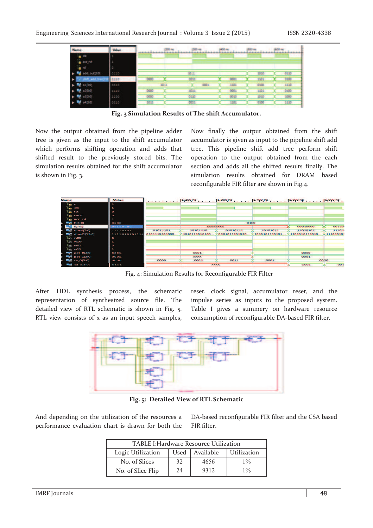

**Fig. 3 Simulation Results of The shift Accumulator.** 

Now the output obtained from the pipeline adder tree is given as the input to the shift accumulator which performs shifting operation and adds that shifted result to the previously stored bits. The simulation results obtained for the shift accumulator is shown in Fig. 3.

Now finally the output obtained from the shift accumulator is given as input to the pipeline shift add tree. This pipeline shift add tree perform shift operation to the output obtained from the each section and adds all the shifted results finally. The simulation results obtained for DRAM based reconfigurable FIR filter are shown in Fig.4.



Fig. 4: Simulation Results for Reconfigurable FIR Filter

After HDL synthesis process, the schematic representation of synthesized source file. The detailed view of RTL schematic is shown in Fig. 5. RTL view consists of x as an input speech samples,

reset, clock signal, accumulator reset, and the impulse series as inputs to the proposed system. Table I gives a summery on hardware resource consumption of reconfigurable DA-based FIR filter.



**Fig. 5: Detailed View of RTL Schematic**

And depending on the utilization of the resources a performance evaluation chart is drawn for both the DA-based reconfigurable FIR filter and the CSA based FIR filter.

| TABLE I: Hardware Resource Utilization |    |                  |             |  |
|----------------------------------------|----|------------------|-------------|--|
| Logic Utilization                      |    | Used   Available | Utilization |  |
| No. of Slices                          | 32 | 4656             | $1\%$       |  |
| No. of Slice Flip                      | 24 | 9312             | $1\%$       |  |